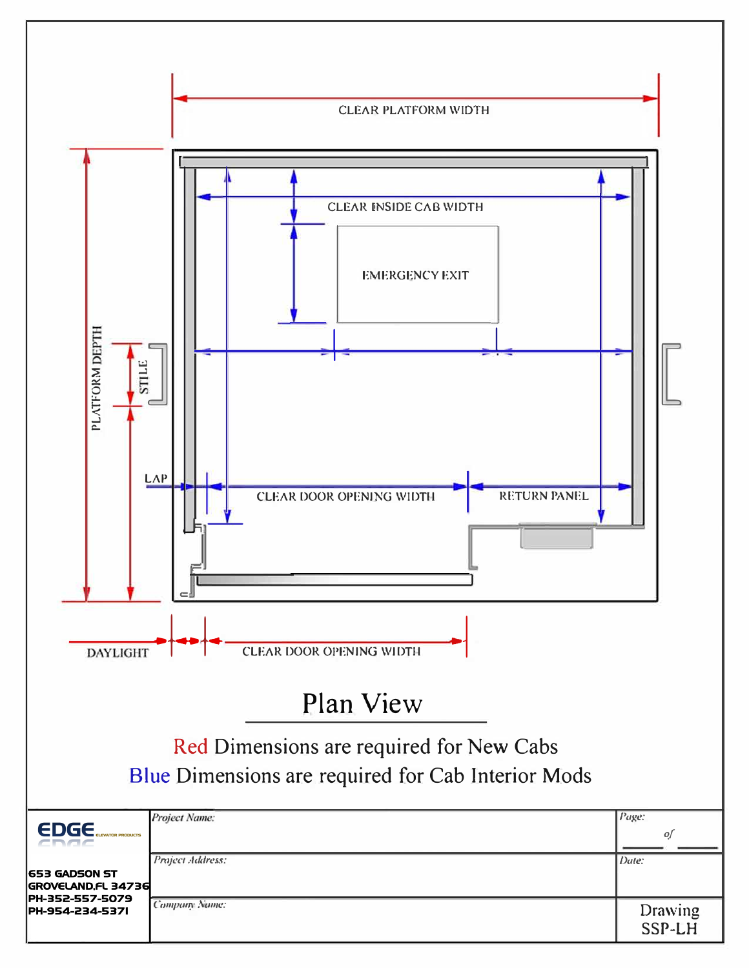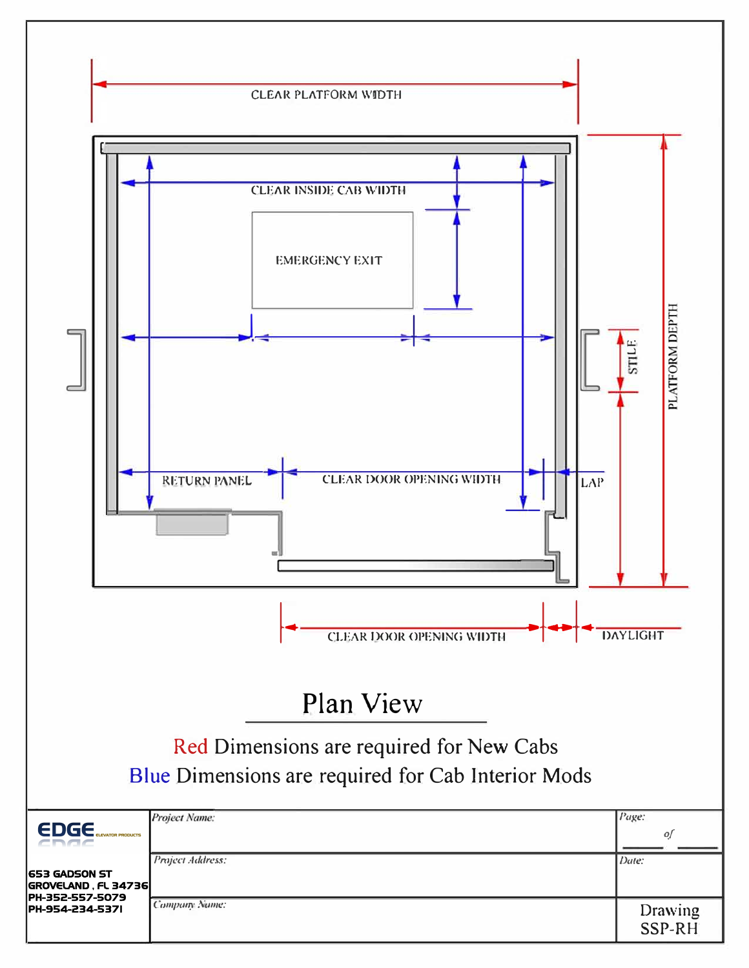